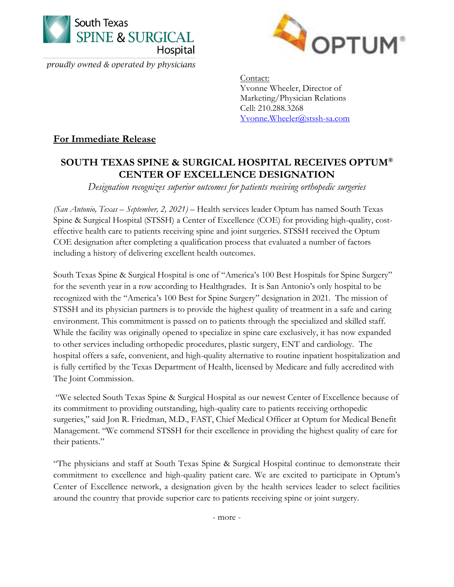

proudly owned & operated by physicians



Contact: Yvonne Wheeler, Director of Marketing/Physician Relations Cell: 210.288.3268 [Yvonne.Wheeler@stssh-sa.com](mailto:Yvonne.Wheeler@stssh-sa.com)

## **For Immediate Release**

## **SOUTH TEXAS SPINE & SURGICAL HOSPITAL RECEIVES OPTUM® CENTER OF EXCELLENCE DESIGNATION**

*Designation recognizes superior outcomes for patients receiving orthopedic surgeries*

*(San Antonio, Texas – September, 2, 2021) –* Health services leader Optum has named South Texas Spine & Surgical Hospital (STSSH) a Center of Excellence (COE) for providing high-quality, costeffective health care to patients receiving spine and joint surgeries. STSSH received the Optum COE designation after completing a qualification process that evaluated a number of factors including a history of delivering excellent health outcomes.

South Texas Spine & Surgical Hospital is one of "America's 100 Best Hospitals for Spine Surgery" for the seventh year in a row according to Healthgrades. It is San Antonio's only hospital to be recognized with the "America's 100 Best for Spine Surgery" designation in 2021. The mission of STSSH and its physician partners is to provide the highest quality of treatment in a safe and caring environment. This commitment is passed on to patients through the specialized and skilled staff. While the facility was originally opened to specialize in spine care exclusively, it has now expanded to other services including orthopedic procedures, plastic surgery, ENT and cardiology. The hospital offers a safe, convenient, and high-quality alternative to routine inpatient hospitalization and is fully certified by the Texas Department of Health, licensed by Medicare and fully accredited with The Joint Commission.

"We selected South Texas Spine & Surgical Hospital as our newest Center of Excellence because of its commitment to providing outstanding, high-quality care to patients receiving orthopedic surgeries," said Jon R. Friedman, M.D., FAST, Chief Medical Officer at Optum for Medical Benefit Management. "We commend STSSH for their excellence in providing the highest quality of care for their patients."

"The physicians and staff at South Texas Spine & Surgical Hospital continue to demonstrate their commitment to excellence and high-quality patient care. We are excited to participate in Optum's Center of Excellence network, a designation given by the health services leader to select facilities around the country that provide superior care to patients receiving spine or joint surgery.

- more -